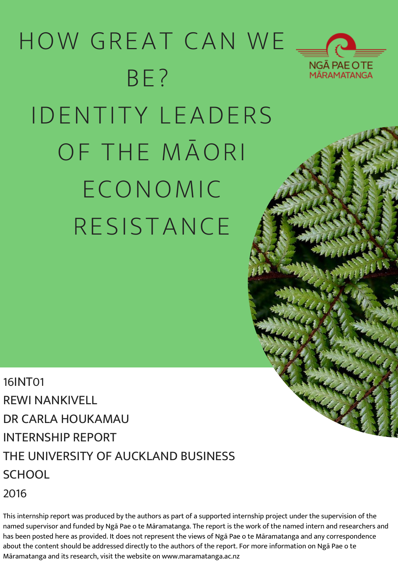# HOW GREAT CAN WE BE? IDENTITY LEADERS OF THE MĀORI ECONOMIC RESISTANCE



16INT01 REWI NANKIVELL DR CARLA HOUKAMAU INTERNSHIP REPORT THE UNIVERSITY OF AUCKLAND BUSINESS SCHOOL 2016

This internship report was produced by the authors as part of a supported internship project under the supervision of the named supervisor and funded by Ngā Pae o te Māramatanga. The report is the work of the named intern and researchers and has been posted here as provided. It does not represent the views of Ngā Pae o te Māramatanga and any correspondence about the content should be addressed directly to the authors of the report. For more information on Ngā Pae o te Māramatanga and its research, visit the website on www.maramatanga.ac.nz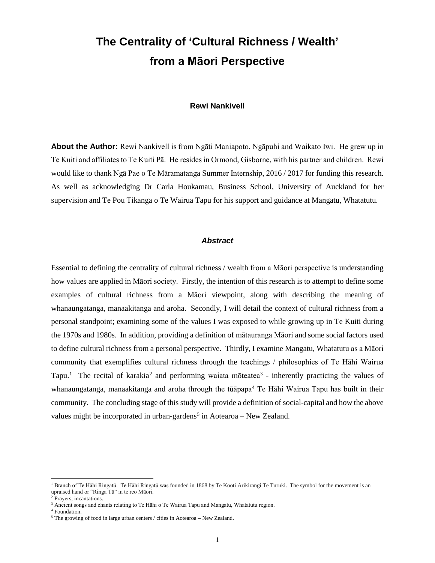# **The Centrality of 'Cultural Richness / Wealth' from a Māori Perspective**

# **Rewi Nankivell**

**About the Author:** Rewi Nankivell is from Ngāti Maniapoto, Ngāpuhi and Waikato Iwi. He grew up in Te Kuiti and affiliates to Te Kuiti Pā. He resides in Ormond, Gisborne, with his partner and children. Rewi would like to thank Ngā Pae o Te Māramatanga Summer Internship, 2016 / 2017 for funding this research. As well as acknowledging Dr Carla Houkamau, Business School, University of Auckland for her supervision and Te Pou Tikanga o Te Wairua Tapu for his support and guidance at Mangatu, Whatatutu.

#### *Abstract*

Essential to defining the centrality of cultural richness / wealth from a Māori perspective is understanding how values are applied in Māori society. Firstly, the intention of this research is to attempt to define some examples of cultural richness from a Māori viewpoint, along with describing the meaning of whanaungatanga, manaakitanga and aroha. Secondly, I will detail the context of cultural richness from a personal standpoint; examining some of the values I was exposed to while growing up in Te Kuiti during the 1970s and 1980s. In addition, providing a definition of mātauranga Māori and some social factors used to define cultural richness from a personal perspective. Thirdly, I examine Mangatu, Whatatutu as a Māori community that exemplifies cultural richness through the teachings / philosophies of Te Hāhi Wairua Tapu.<sup>[1](#page-1-0)</sup> The recital of karakia<sup>[2](#page-1-1)</sup> and performing waiata moteatea<sup>[3](#page-1-2)</sup> - inherently practicing the values of whanaungatanga, manaakitanga and aroha through the tūāpapa<sup>[4](#page-1-3)</sup> Te Hāhi Wairua Tapu has built in their community. The concluding stage of this study will provide a definition of social-capital and how the above values might be incorporated in urban-gardens<sup>[5](#page-1-4)</sup> in Aotearoa – New Zealand.

<span id="page-1-0"></span><sup>&</sup>lt;sup>1</sup> Branch of Te Hāhi Ringatū. Te Hāhi Ringatū was founded in 1868 by Te Kooti Arikirangi Te Turuki. The symbol for the movement is an upraised hand or "Ringa Tū" in te reo Māori.

<sup>&</sup>lt;sup>2</sup> Prayers, incantations.

<span id="page-1-2"></span><span id="page-1-1"></span><sup>&</sup>lt;sup>3</sup> Ancient songs and chants relating to Te Hāhi o Te Wairua Tapu and Mangatu, Whatatutu region.

<span id="page-1-3"></span> $^4$  Foundation.

<span id="page-1-4"></span><sup>5</sup> The growing of food in large urban centers / cities in Aotearoa – New Zealand.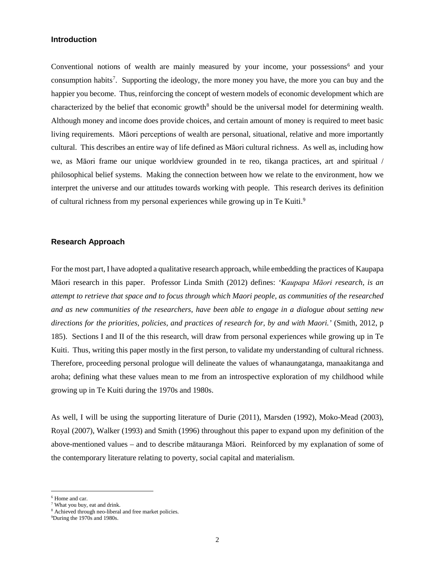## **Introduction**

Conventional notions of wealth are mainly measured by your income, your possessions<sup> $6$ </sup> and your consumption habits<sup>[7](#page-2-1)</sup>. Supporting the ideology, the more money you have, the more you can buy and the happier you become. Thus, reinforcing the concept of western models of economic development which are characterized by the belief that economic growth<sup>[8](#page-2-2)</sup> should be the universal model for determining wealth. Although money and income does provide choices, and certain amount of money is required to meet basic living requirements. Māori perceptions of wealth are personal, situational, relative and more importantly cultural. This describes an entire way of life defined as Māori cultural richness. As well as, including how we, as Māori frame our unique worldview grounded in te reo, tikanga practices, art and spiritual / philosophical belief systems. Making the connection between how we relate to the environment, how we interpret the universe and our attitudes towards working with people. This research derives its definition of cultural richness from my personal experiences while growing up in Te Kuiti.<sup>[9](#page-2-3)</sup>

# **Research Approach**

For the most part, I have adopted a qualitative research approach, while embedding the practices of Kaupapa Māori research in this paper. Professor Linda Smith (2012) defines: *'Kaupapa Māori research, is an attempt to retrieve that space and to focus through which Maori people, as communities of the researched and as new communities of the researchers, have been able to engage in a dialogue about setting new directions for the priorities, policies, and practices of research for, by and with Maori.'* (Smith, 2012, p 185). Sections I and II of the this research, will draw from personal experiences while growing up in Te Kuiti. Thus, writing this paper mostly in the first person, to validate my understanding of cultural richness. Therefore, proceeding personal prologue will delineate the values of whanaungatanga, manaakitanga and aroha; defining what these values mean to me from an introspective exploration of my childhood while growing up in Te Kuiti during the 1970s and 1980s.

As well, I will be using the supporting literature of Durie (2011), Marsden (1992), Moko-Mead (2003), Royal (2007), Walker (1993) and Smith (1996) throughout this paper to expand upon my definition of the above-mentioned values – and to describe mātauranga Māori. Reinforced by my explanation of some of the contemporary literature relating to poverty, social capital and materialism.

 <sup>6</sup> Home and car.

<span id="page-2-2"></span><span id="page-2-1"></span><span id="page-2-0"></span><sup>7</sup> What you buy, eat and drink.

<sup>&</sup>lt;sup>8</sup> Achieved through neo-liberal and free market policies.

<span id="page-2-3"></span><sup>9</sup> During the 1970s and 1980s.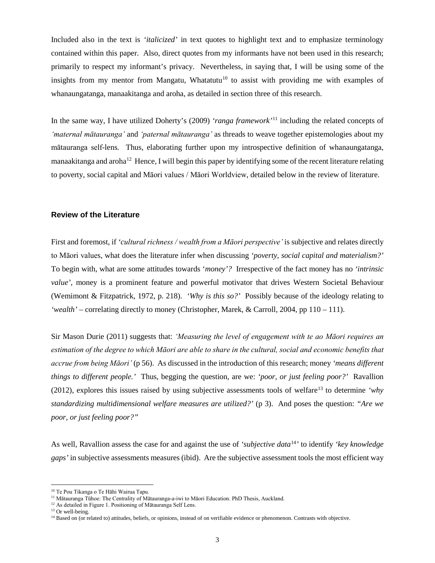Included also in the text is *'italicized'* in text quotes to highlight text and to emphasize terminology contained within this paper. Also, direct quotes from my informants have not been used in this research; primarily to respect my informant's privacy. Nevertheless, in saying that, I will be using some of the insights from my mentor from Mangatu, Whatatutu<sup>10</sup> to assist with providing me with examples of whanaungatanga, manaakitanga and aroha, as detailed in section three of this research.

In the same way, I have utilized Doherty's (2009) *'ranga framework'*[11](#page-3-1) including the related concepts of *'maternal mātauranga'* and *'paternal mātauranga'* as threads to weave together epistemologies about my mātauranga self-lens*.* Thus, elaborating further upon my introspective definition of whanaungatanga, manaakitanga and aroha<sup>[12](#page-3-2)</sup> Hence, I will begin this paper by identifying some of the recent literature relating to poverty, social capital and Māori values / Māori Worldview, detailed below in the review of literature.

# **Review of the Literature**

First and foremost, if *'cultural richness / wealth from a Māori perspective'* is subjective and relates directly to Māori values, what does the literature infer when discussing *'poverty, social capital and materialism?'* To begin with, what are some attitudes towards '*money'?* Irrespective of the fact money has no *'intrinsic value'*, money is a prominent feature and powerful motivator that drives Western Societal Behaviour (Wemimont & Fitzpatrick, 1972, p. 218). *'Why is this so?'* Possibly because of the ideology relating to *'wealth'* – correlating directly to money (Christopher, Marek, & Carroll, 2004, pp 110 – 111).

Sir Mason Durie (2011) suggests that: *'Measuring the level of engagement with te ao Māori requires an estimation of the degree to which Māori are able to share in the cultural, social and economic benefits that accrue from being Māori'* (p 56). As discussed in the introduction of this research; money *'means different things to different people.'* Thus, begging the question, are we: *'poor, or just feeling poor?'* Ravallion (2012), explores this issues raised by using subjective assessments tools of welfare[13](#page-3-3) to determine *'why standardizing multidimensional welfare measures are utilized?'* (p 3). And poses the question: *"Are we poor, or just feeling poor?"* 

As well, Ravallion assess the case for and against the use of *'subjective data*[14](#page-3-4)*'* to identify *'key knowledge gaps'* in subjective assessments measures (ibid). Are the subjective assessment tools the most efficient way

<span id="page-3-0"></span><sup>&</sup>lt;sup>10</sup> Te Pou Tikanga o Te Hāhi Wairua Tapu.

<sup>11</sup> Mātauranga Tūhoe: The Centrality of Mātauranga-a-iwi to Māori Education. PhD Thesis, Auckland.

<span id="page-3-2"></span><span id="page-3-1"></span><sup>&</sup>lt;sup>12</sup> As detailed in Figure 1. Positioning of Mātauranga Self Lens.

<span id="page-3-3"></span><sup>&</sup>lt;sup>13</sup> Or well-being.

<span id="page-3-4"></span><sup>&</sup>lt;sup>14</sup> Based on (or related to) attitudes, beliefs, or opinions, instead of on verifiable evidence or phenomenon. Contrasts with objective.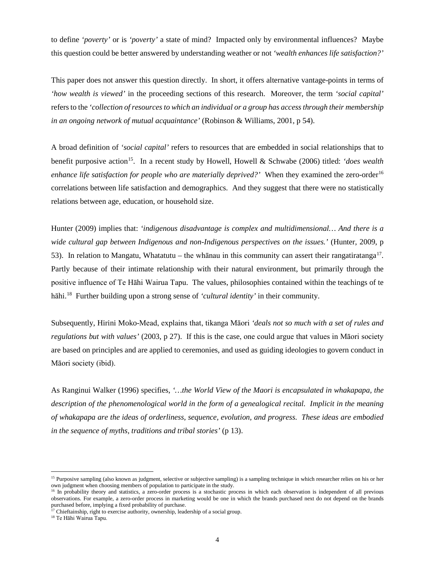to define *'poverty'* or is *'poverty'* a state of mind? Impacted only by environmental influences? Maybe this question could be better answered by understanding weather or not *'wealth enhances life satisfaction?'* 

This paper does not answer this question directly. In short, it offers alternative vantage-points in terms of *'how wealth is viewed'* in the proceeding sections of this research. Moreover, the term *'social capital'* refers to the *'collection of resources to which an individual or a group has access through their membership in an ongoing network of mutual acquaintance'* (Robinson & Williams, 2001, p 54).

A broad definition of *'social capital'* refers to resources that are embedded in social relationships that to benefit purposive action<sup>15</sup>. In a recent study by Howell, Howell & Schwabe (2006) titled: *'does wealth enhance life satisfaction for people who are materially deprived?'* When they examined the zero-order<sup>[16](#page-4-1)</sup> correlations between life satisfaction and demographics. And they suggest that there were no statistically relations between age, education, or household size.

Hunter (2009) implies that: *'indigenous disadvantage is complex and multidimensional… And there is a wide cultural gap between Indigenous and non-Indigenous perspectives on the issues.'* (Hunter, 2009, p 53). In relation to Mangatu, Whatatutu – the whanau in this community can assert their rangatiratanga<sup>[17](#page-4-2)</sup>. Partly because of their intimate relationship with their natural environment, but primarily through the positive influence of Te Hāhi Wairua Tapu. The values, philosophies contained within the teachings of te hāhi.[18](#page-4-3) Further building upon a strong sense of *'cultural identity'* in their community.

Subsequently, Hirini Moko-Mead, explains that, tikanga Māori *'deals not so much with a set of rules and regulations but with values'* (2003, p 27). If this is the case, one could argue that values in Māori society are based on principles and are applied to ceremonies, and used as guiding ideologies to govern conduct in Māori society (ibid).

As Ranginui Walker (1996) specifies, *'…the World View of the Maori is encapsulated in whakapapa, the description of the phenomenological world in the form of a genealogical recital. Implicit in the meaning of whakapapa are the ideas of orderliness, sequence, evolution, and progress. These ideas are embodied in the sequence of myths, traditions and tribal stories'* (p 13).

<span id="page-4-0"></span><sup>&</sup>lt;sup>15</sup> Purposive sampling (also known as judgment, selective or subjective sampling) is a sampling technique in which researcher relies on his or her own judgment when choosing members of population to participate in the study.

<span id="page-4-1"></span><sup>&</sup>lt;sup>16</sup> In [probability theory](https://en.wikipedia.org/wiki/Probability_theory) and [statistics,](https://en.wikipedia.org/wiki/Statistics) a zero-order process is a [stochastic process](https://en.wikipedia.org/wiki/Stochastic_process) in which each observation is independent of all previous observations. For example, a zero-order process in marketing would be one in which the brands purchased next do not depend on the brands purchased before, implying a fixed probability of purchase.

<span id="page-4-2"></span><sup>&</sup>lt;sup>17</sup> Chieftainship, right to exercise authority, ownership, leadership of a social group.

<span id="page-4-3"></span><sup>18</sup> Te Hāhi Wairua Tapu.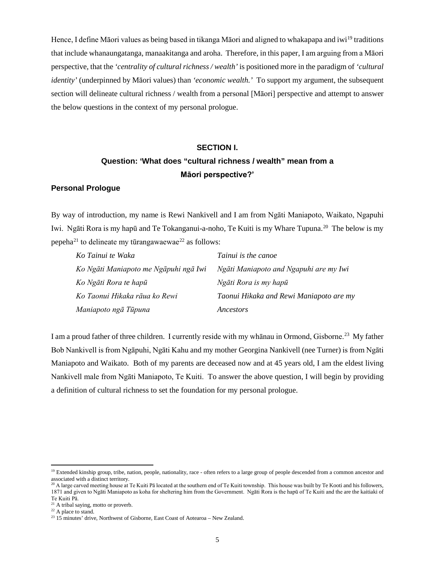Hence, I define Māori values as being based in tikanga Māori and aligned to whakapapa and iwi[19](#page-5-0) traditions that include whanaungatanga, manaakitanga and aroha. Therefore, in this paper, I am arguing from a Māori perspective, that the *'centrality of cultural richness / wealth'* is positioned more in the paradigm of *'cultural identity'* (underpinned by Māori values) than *'economic wealth.'* To support my argument, the subsequent section will delineate cultural richness / wealth from a personal [Māori] perspective and attempt to answer the below questions in the context of my personal prologue.

# **SECTION I. Question: 'What does "cultural richness / wealth" mean from a Māori perspective?'**

# **Personal Prologue**

By way of introduction, my name is Rewi Nankivell and I am from Ngāti Maniapoto, Waikato, Ngapuhi Iwi. Ngāti Rora is my hapū and Te Tokanganui-a-noho, Te Kuiti is my Whare Tupuna.<sup>[20](#page-5-1)</sup> The below is my pepeha<sup>[21](#page-5-2)</sup> to delineate my tūrangawaewae<sup>[22](#page-5-3)</sup> as follows:

| Ko Tainui te Waka                     | Tainui is the canoe                     |
|---------------------------------------|-----------------------------------------|
| Ko Ngāti Maniapoto me Ngāpuhi ngā Iwi | Ngāti Maniapoto and Ngapuhi are my Iwi  |
| Ko Ngāti Rora te hapū                 | Ngāti Rora is my hapū                   |
| Ko Taonui Hikaka rāua ko Rewi         | Taonui Hikaka and Rewi Maniapoto are my |
| Maniapoto ngā Tūpuna                  | Ancestors                               |

I am a proud father of three children. I currently reside with my whānau in Ormond, Gisborne.[23](#page-5-4) My father Bob Nankivell is from Ngāpuhi, Ngāti Kahu and my mother Georgina Nankivell (nee Turner) is from Ngāti Maniapoto and Waikato. Both of my parents are deceased now and at 45 years old, I am the eldest living Nankivell male from Ngāti Maniapoto, Te Kuiti. To answer the above question, I will begin by providing a definition of cultural richness to set the foundation for my personal prologue.

<span id="page-5-0"></span><sup>&</sup>lt;sup>19</sup> Extended kinship group, tribe, nation, people, nationality, race - often refers to a large group of people descended from a common ancestor and associated with a distinct territory.

<span id="page-5-1"></span> $^{20}$  A large carved meeting house at Te Kuiti Pā located at the southern end of Te Kuiti township. This house was built by Te Kooti and his followers, 1871 and given to Ngāti Maniapoto as koha for sheltering him from the Government. Ngāti Rora is the hapū of Te Kuiti and the are the kaitiaki of Te Kuiti Pā.

<span id="page-5-2"></span><sup>&</sup>lt;sup>21</sup> A tribal saying, motto or proverb.

<span id="page-5-3"></span><sup>&</sup>lt;sup>22</sup> A place to stand.

<span id="page-5-4"></span><sup>&</sup>lt;sup>23</sup> 15 minutes' drive, Northwest of Gisborne, East Coast of Aotearoa - New Zealand.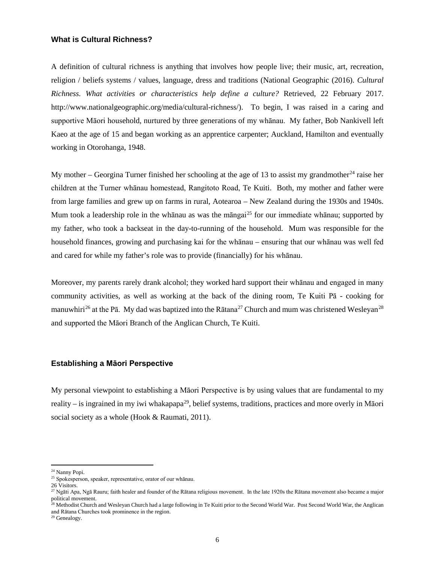### **What is Cultural Richness?**

A definition of cultural richness is anything that involves how people live; their music, art, recreation, religion / beliefs systems / values, language, dress and traditions (National Geographic (2016). *Cultural Richness. What activities or characteristics help define a culture?* Retrieved, 22 February 2017. http://www.nationalgeographic.org/media/cultural-richness/). To begin, I was raised in a caring and supportive Māori household, nurtured by three generations of my whānau. My father, Bob Nankivell left Kaeo at the age of 15 and began working as an apprentice carpenter; Auckland, Hamilton and eventually working in Otorohanga, 1948.

My mother – Georgina Turner finished her schooling at the age of 13 to assist my grandmother<sup>[24](#page-6-0)</sup> raise her children at the Turner whānau homestead, Rangitoto Road, Te Kuiti. Both, my mother and father were from large families and grew up on farms in rural, Aotearoa – New Zealand during the 1930s and 1940s. Mum took a leadership role in the whānau as was the māngai<sup>[25](#page-6-1)</sup> for our immediate whānau; supported by my father, who took a backseat in the day-to-running of the household. Mum was responsible for the household finances, growing and purchasing kai for the whānau – ensuring that our whānau was well fed and cared for while my father's role was to provide (financially) for his whānau.

Moreover, my parents rarely drank alcohol; they worked hard support their whānau and engaged in many community activities, as well as working at the back of the dining room, Te Kuiti Pā - cooking for manuwhiri<sup>[26](#page-6-2)</sup> at the Pā. My dad was baptized into the Rātana<sup>[27](#page-6-3)</sup> Church and mum was christened Wesleyan<sup>[28](#page-6-4)</sup> and supported the Māori Branch of the Anglican Church, Te Kuiti.

# **Establishing a Māori Perspective**

My personal viewpoint to establishing a Māori Perspective is by using values that are fundamental to my reality – is ingrained in my iwi whakapapa<sup>[29](#page-6-5)</sup>, belief systems, traditions, practices and more overly in Māori social society as a whole (Hook & Raumati, 2011).

<span id="page-6-0"></span> <sup>24</sup> Nanny Popi.

<span id="page-6-2"></span><span id="page-6-1"></span><sup>25</sup> Spokesperson, speaker, representative, orator of our whānau.

<sup>26</sup> Visitors.

<span id="page-6-3"></span> $^{27}$  Ngāti Apa, Ngā Rauru; faith healer and founder of the Rātana religious movement. In the late 1920s the Rātana movement also became a major political movement.

<span id="page-6-4"></span><sup>&</sup>lt;sup>28</sup> Methodist Church and Wesleyan Church had a large following in Te Kuiti prior to the Second World War. Post Second World War, the Anglican and Rātana Churches took prominence in the region.

<span id="page-6-5"></span><sup>29</sup> Genealogy.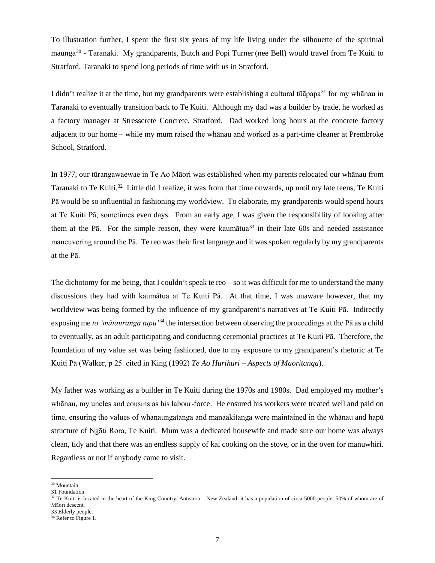To illustration further, I spent the first six years of my life living under the silhouette of the spiritual maunga[30](#page-7-0) - Taranaki. My grandparents, Butch and Popi Turner (nee Bell) would travel from Te Kuiti to Stratford, Taranaki to spend long periods of time with us in Stratford.

I didn't realize it at the time, but my grandparents were establishing a cultural tūāpapa<sup>[31](#page-7-1)</sup> for my whānau in Taranaki to eventually transition back to Te Kuiti. Although my dad was a builder by trade, he worked as a factory manager at Stresscrete Concrete, Stratford. Dad worked long hours at the concrete factory adjacent to our home – while my mum raised the whānau and worked as a part-time cleaner at Prembroke School, Stratford.

In 1977, our tūrangawaewae in Te Ao Māori was established when my parents relocated our whānau from Taranaki to Te Kuiti.[32](#page-7-2) Little did I realize, it was from that time onwards, up until my late teens, Te Kuiti Pā would be so influential in fashioning my worldview. To elaborate, my grandparents would spend hours at Te Kuiti Pā, sometimes even days. From an early age, I was given the responsibility of looking after them at the P $\bar{a}$ . For the simple reason, they were kaum $\bar{a}$ tuan $33$  in their late 60s and needed assistance maneuvering around the Pā. Te reo was their first language and it was spoken regularly by my grandparents at the Pā.

The dichotomy for me being, that I couldn't speak te reo – so it was difficult for me to understand the many discussions they had with kaumātua at Te Kuiti Pā. At that time, I was unaware however, that my worldview was being formed by the influence of my grandparent's narratives at Te Kuiti Pā. Indirectly exposing me *to 'mātauranga tupu'*[34](#page-7-4) the intersection between observing the proceedings at the Pā as a child to eventually, as an adult participating and conducting ceremonial practices at Te Kuiti Pā. Therefore, the foundation of my value set was being fashioned, due to my exposure to my grandparent's rhetoric at Te Kuiti Pā (Walker, p 25. cited in King (1992) *Te Ao Hurihuri – Aspects of Maoritanga*).

My father was working as a builder in Te Kuiti during the 1970s and 1980s. Dad employed my mother's whānau, my uncles and cousins as his labour-force. He ensured his workers were treated well and paid on time, ensuring the values of whanaungatanga and manaakitanga were maintained in the whānau and hapū structure of Ngāti Rora, Te Kuiti. Mum was a dedicated housewife and made sure our home was always clean, tidy and that there was an endless supply of kai cooking on the stove, or in the oven for manuwhiri. Regardless or not if anybody came to visit.

<span id="page-7-0"></span> <sup>30</sup> Mountain.

<span id="page-7-1"></span><sup>31</sup> Foundation.

<span id="page-7-2"></span><sup>&</sup>lt;sup>32</sup> Te Kuiti is located in the heart of the King Country, Aotearoa – New Zealand. it has a population of circa 5000 people, 50% of whom are of Māori descent.

<span id="page-7-4"></span><span id="page-7-3"></span> $34$  Refer to Figure 1.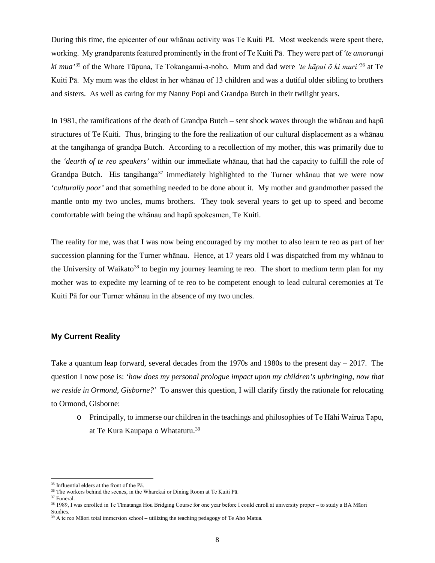During this time, the epicenter of our whānau activity was Te Kuiti Pā. Most weekends were spent there, working. My grandparents featured prominently in the front of Te Kuiti Pā. They were part of *'te amorangi ki mua'*[35](#page-8-0) of the Whare Tūpuna, Te Tokanganui-a-noho. Mum and dad were *'te hāpai ō ki muri'*[36](#page-8-1) at Te Kuiti Pā. My mum was the eldest in her whānau of 13 children and was a dutiful older sibling to brothers and sisters. As well as caring for my Nanny Popi and Grandpa Butch in their twilight years.

In 1981, the ramifications of the death of Grandpa Butch – sent shock waves through the whānau and hapū structures of Te Kuiti. Thus, bringing to the fore the realization of our cultural displacement as a whānau at the tangihanga of grandpa Butch. According to a recollection of my mother, this was primarily due to the *'dearth of te reo speakers'* within our immediate whānau, that had the capacity to fulfill the role of Grandpa Butch. His tangihanga<sup>[37](#page-8-2)</sup> immediately highlighted to the Turner whanau that we were now *'culturally poor'* and that something needed to be done about it. My mother and grandmother passed the mantle onto my two uncles, mums brothers. They took several years to get up to speed and become comfortable with being the whānau and hapū spokesmen, Te Kuiti.

The reality for me, was that I was now being encouraged by my mother to also learn te reo as part of her succession planning for the Turner whānau. Hence, at 17 years old I was dispatched from my whānau to the University of Waikato<sup>[38](#page-8-3)</sup> to begin my journey learning te reo. The short to medium term plan for my mother was to expedite my learning of te reo to be competent enough to lead cultural ceremonies at Te Kuiti Pā for our Turner whānau in the absence of my two uncles.

# **My Current Reality**

Take a quantum leap forward, several decades from the 1970s and 1980s to the present day – 2017. The question I now pose is: *'how does my personal prologue impact upon my children's upbringing, now that we reside in Ormond, Gisborne?'* To answer this question, I will clarify firstly the rationale for relocating to Ormond, Gisborne:

o Principally, to immerse our children in the teachings and philosophies of Te Hāhi Wairua Tapu, at Te Kura Kaupapa o Whatatutu.[39](#page-8-4) 

<span id="page-8-2"></span><span id="page-8-1"></span> $^{\rm 37}$  Funeral.

<span id="page-8-0"></span> <sup>35</sup> Influential elders at the front of the Pā.

<sup>&</sup>lt;sup>36</sup> The workers behind the scenes, in the Wharekai or Dining Room at Te Kuiti Pā.

<span id="page-8-3"></span><sup>&</sup>lt;sup>38</sup> 1989, I was enrolled in Te Timatanga Hou Bridging Course for one year before I could enroll at university proper – to study a BA Māori Studies.

<span id="page-8-4"></span><sup>&</sup>lt;sup>39</sup> A te reo Māori total immersion school – utilizing the teaching pedagogy of Te Aho Matua.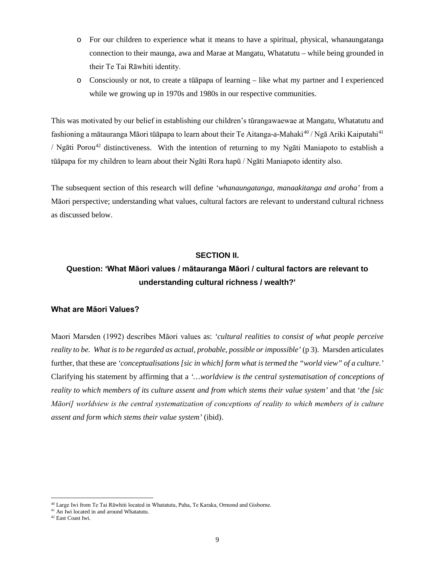- o For our children to experience what it means to have a spiritual, physical, whanaungatanga connection to their maunga, awa and Marae at Mangatu, Whatatutu – while being grounded in their Te Tai Rāwhiti identity.
- o Consciously or not, to create a tūāpapa of learning like what my partner and I experienced while we growing up in 1970s and 1980s in our respective communities.

This was motivated by our belief in establishing our children's tūrangawaewae at Mangatu, Whatatutu and fashioning a mātauranga Māori tūāpapa to learn about their Te Aitanga-a-Mahaki<sup>[40](#page-9-0)</sup> / Ngā Ariki Kaiputahi<sup>[41](#page-9-1)</sup> / Ngāti Porou<sup>[42](#page-9-2)</sup> distinctiveness. With the intention of returning to my Ngāti Maniapoto to establish a tūāpapa for my children to learn about their Ngāti Rora hapū / Ngāti Maniapoto identity also.

The subsequent section of this research will define *'whanaungatanga, manaakitanga and aroha'* from a Māori perspective; understanding what values, cultural factors are relevant to understand cultural richness as discussed below.

# **SECTION II.**

# **Question: 'What Māori values / mātauranga Māori / cultural factors are relevant to understanding cultural richness / wealth?'**

## **What are Māori Values?**

Maori Marsden (1992) describes Māori values as: *'cultural realities to consist of what people perceive reality to be. What is to be regarded as actual, probable, possible or impossible'* (p 3). Marsden articulates further, that these are *'conceptualisations [sic in which] form what is termed the "world view" of a culture.'* Clarifying his statement by affirming that a *'…worldview is the central systematisation of conceptions of reality to which members of its culture assent and from which stems their value system'* and that '*the [sic Māori] worldview is the central systematization of conceptions of reality to which members of is culture assent and form which stems their value system'* (ibid).

<span id="page-9-0"></span> <sup>40</sup> <sup>L</sup>arge Iwi from Te Tai Rāwhiti located in Whatatutu, Puha, Te Karaka, Ormond and Gisborne.

<span id="page-9-1"></span> $41$  An Iwi located in and around Whatatutu.

<span id="page-9-2"></span><sup>42</sup> East Coast Iwi.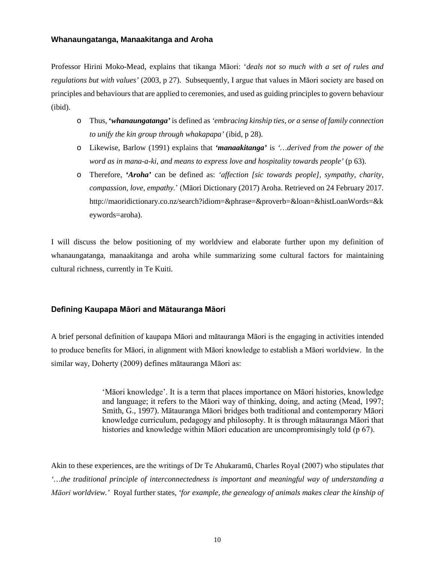# **Whanaungatanga, Manaakitanga and Aroha**

Professor Hirini Moko-Mead, explains that tikanga Māori: '*deals not so much with a set of rules and regulations but with values'* (2003, p 27). Subsequently, I argue that values in Māori society are based on principles and behaviours that are applied to ceremonies, and used as guiding principles to govern behaviour (ibid).

- o Thus, **'***whanaungatanga'* is defined as *'embracing kinship ties, or a sense of family connection to unify the kin group through whakapapa'* (ibid, p 28).
- o Likewise, Barlow (1991) explains that *'manaakitanga'* is *'…derived from the power of the word as in mana-a-ki, and means to express love and hospitality towards people'* (p 63).
- o Therefore, *'Aroha'* can be defined as: *'affection [sic towards people], sympathy, charity, compassion, love, empathy.*' (Māori Dictionary (2017) Aroha. Retrieved on 24 February 2017. [http://maoridictionary.co.nz/search?idiom=&phrase=&proverb=&loan=&histLoanWords=&k](http://maoridictionary.co.nz/search?idiom=&phrase=&proverb=&loan=&histLoanWords=&keywords=aroha) [eywords=aroha\)](http://maoridictionary.co.nz/search?idiom=&phrase=&proverb=&loan=&histLoanWords=&keywords=aroha).

I will discuss the below positioning of my worldview and elaborate further upon my definition of whanaungatanga, manaakitanga and aroha while summarizing some cultural factors for maintaining cultural richness, currently in Te Kuiti.

# **Defining Kaupapa Māori and Mātauranga Māori**

A brief personal definition of kaupapa Māori and mātauranga Māori is the engaging in activities intended to produce benefits for Māori, in alignment with Māori knowledge to establish a Māori worldview. In the similar way, Doherty (2009) defines mātauranga Māori as:

> 'Māori knowledge'. It is a term that places importance on Māori histories, knowledge and language; it refers to the Māori way of thinking, doing, and acting (Mead, 1997; Smith, G., 1997). Mātauranga Māori bridges both traditional and contemporary Māori knowledge curriculum, pedagogy and philosophy. It is through mātauranga Māori that histories and knowledge within Māori education are uncompromisingly told (p 67).

Akin to these experiences, are the writings of Dr Te Ahukaramū, Charles Royal (2007) who stipulates *that '…the traditional principle of interconnectedness is important and meaningful way of understanding a Māori worldview.'* Royal further states, *'for example, the genealogy of animals makes clear the kinship of*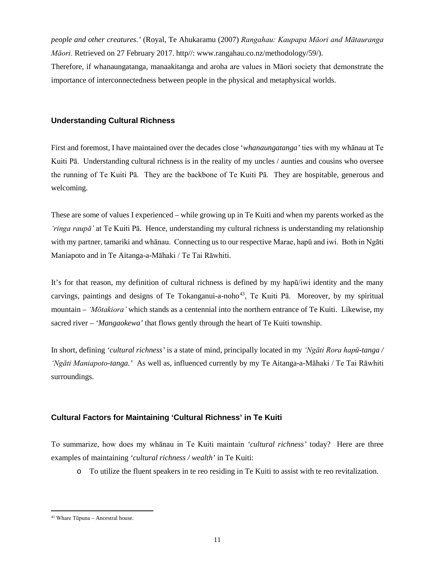*people and other creatures.'* (Royal, Te Ahukaramu (2007) *Rangahau: Kaupapa Māori and Mātauranga Māori.* Retrieved on 27 February 2017. http//: www.rangahau.co.nz/methodology/59/).

Therefore, if whanaungatanga, manaakitanga and aroha are values in Māori society that demonstrate the importance of interconnectedness between people in the physical and metaphysical worlds.

# **Understanding Cultural Richness**

First and foremost, I have maintained over the decades close '*whanaungatanga'* ties with my whānau at Te Kuiti Pā. Understanding cultural richness is in the reality of my uncles / aunties and cousins who oversee the running of Te Kuiti Pā. They are the backbone of Te Kuiti Pā. They are hospitable, generous and welcoming.

These are some of values I experienced – while growing up in Te Kuiti and when my parents worked as the *'ringa raupā'* at Te Kuiti Pā. Hence, understanding my cultural richness is understanding my relationship with my partner, tamariki and whānau. Connecting us to our respective Marae, hapū and iwi. Both in Ngāti Maniapoto and in Te Aitanga-a-Māhaki / Te Tai Rāwhiti.

It's for that reason, my definition of cultural richness is defined by my hapū/iwi identity and the many carvings, paintings and designs of Te Tokanganui-a-noho<sup>[43](#page-11-0)</sup>, Te Kuiti Pā. Moreover, by my spiritual mountain – *'Mōtakiora'* which stands as a centennial into the northern entrance of Te Kuiti. Likewise, my sacred river – *'Mangaokewa'* that flows gently through the heart of Te Kuiti township.

In short, defining *'cultural richness'* is a state of mind, principally located in my *'Ngāti Rora hapū-tanga / 'Ngāti Maniapoto-tanga.'* As well as, influenced currently by my Te Aitanga-a-Māhaki / Te Tai Rāwhiti surroundings.

# **Cultural Factors for Maintaining 'Cultural Richness' in Te Kuiti**

To summarize, how does my whānau in Te Kuiti maintain *'cultural richness'* today? Here are three examples of maintaining *'cultural richness / wealth'* in Te Kuiti:

o To utilize the fluent speakers in te reo residing in Te Kuiti to assist with te reo revitalization.

<span id="page-11-0"></span> <sup>43</sup> Whare Tūpuna – Ancestral house.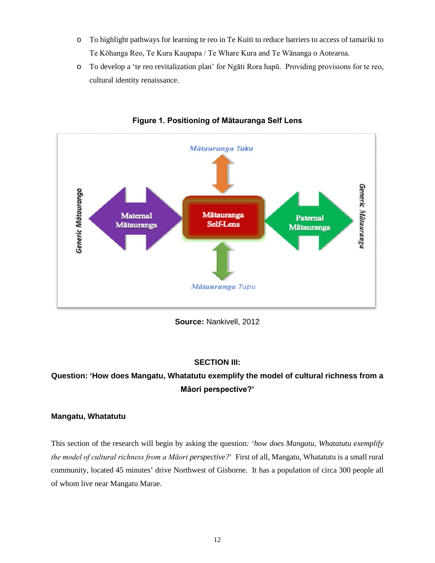- o To highlight pathways for learning te reo in Te Kuiti to reduce barriers to access of tamariki to Te Kōhanga Reo, Te Kura Kaupapa / Te Whare Kura and Te Wānanga o Aotearoa.
- o To develop a 'te reo revitalization plan' for Ngāti Rora hapū. Providing provisions for te reo, cultural identity renaissance.



**Figure 1. Positioning of Mātauranga Self Lens**

**Source:** Nankivell, 2012

# **SECTION III:**

# **Question: 'How does Mangatu, Whatatutu exemplify the model of cultural richness from a Māori perspective?'**

# **Mangatu, Whatatutu**

This section of the research will begin by asking the question*: 'how does Mangatu, Whatatutu exemplify the model of cultural richness from a Māori perspective?*' First of all, Mangatu, Whatatutu is a small rural community, located 45 minutes' drive Northwest of Gisborne. It has a population of circa 300 people all of whom live near Mangatu Marae.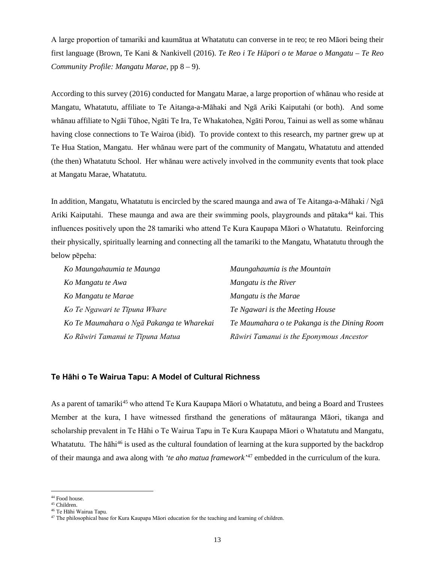A large proportion of tamariki and kaumātua at Whatatutu can converse in te reo; te reo Māori being their first language (Brown, Te Kani & Nankivell (2016). *Te Reo i Te Hāpori o te Marae o Mangatu – Te Reo Community Profile: Mangatu Marae*, pp 8 – 9).

According to this survey (2016) conducted for Mangatu Marae, a large proportion of whānau who reside at Mangatu, Whatatutu, affiliate to Te Aitanga-a-Māhaki and Ngā Ariki Kaiputahi (or both). And some whānau affiliate to Ngāi Tūhoe, Ngāti Te Ira, Te Whakatohea, Ngāti Porou, Tainui as well as some whānau having close connections to Te Wairoa (ibid). To provide context to this research, my partner grew up at Te Hua Station, Mangatu. Her whānau were part of the community of Mangatu, Whatatutu and attended (the then) Whatatutu School. Her whānau were actively involved in the community events that took place at Mangatu Marae, Whatatutu.

In addition, Mangatu, Whatatutu is encircled by the scared maunga and awa of Te Aitanga-a-Māhaki / Ngā Ariki Kaiputahi. These maunga and awa are their swimming pools, playgrounds and pātaka<sup>[44](#page-13-0)</sup> kai. This influences positively upon the 28 tamariki who attend Te Kura Kaupapa Māori o Whatatutu. Reinforcing their physically, spiritually learning and connecting all the tamariki to the Mangatu, Whatatutu through the below pēpeha:

| Ko Maungahaumia te Maunga                 | Maungahaumia is the Mountain                 |
|-------------------------------------------|----------------------------------------------|
| Ko Mangatu te Awa                         | Mangatu is the River                         |
| Ko Mangatu te Marae                       | Mangatu is the Marae                         |
| Ko Te Ngawari te Tipuna Whare             | Te Ngawari is the Meeting House              |
| Ko Te Maumahara o Ngā Pakanga te Wharekai | Te Maumahara o te Pakanga is the Dining Room |
| Ko Rāwiri Tamanui te Tīpuna Matua         | Rāwiri Tamanui is the Eponymous Ancestor     |

# **Te Hāhi o Te Wairua Tapu: A Model of Cultural Richness**

As a parent of tamariki<sup>[45](#page-13-1)</sup> who attend Te Kura Kaupapa Māori o Whatatutu, and being a Board and Trustees Member at the kura, I have witnessed firsthand the generations of mātauranga Māori, tikanga and scholarship prevalent in Te Hāhi o Te Wairua Tapu in Te Kura Kaupapa Māori o Whatatutu and Mangatu, Whatatutu. The hāhi<sup>[46](#page-13-2)</sup> is used as the cultural foundation of learning at the kura supported by the backdrop of their maunga and awa along with *'te aho matua framework'*[47](#page-13-3) embedded in the curriculum of the kura.

<span id="page-13-0"></span> $^{\rm 44}$  Food house.

<span id="page-13-1"></span><sup>45</sup> Children.

<sup>46</sup> Te Hāhi Wairua Tapu.

<span id="page-13-3"></span><span id="page-13-2"></span><sup>47</sup> The philosophical base for Kura Kaupapa Māori education for the teaching and learning of children.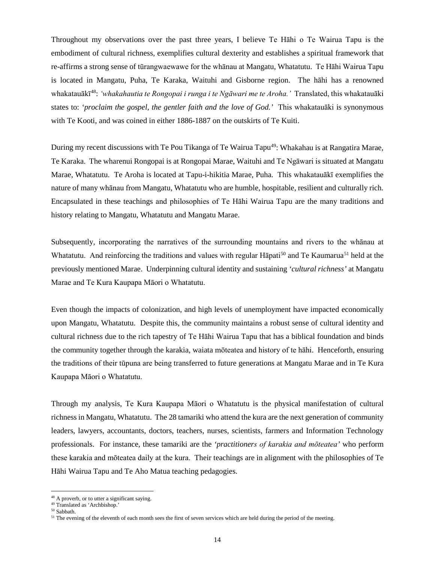Throughout my observations over the past three years, I believe Te Hāhi o Te Wairua Tapu is the embodiment of cultural richness*,* exemplifies cultural dexterity and establishes a spiritual framework that re-affirms a strong sense of tūrangwaewawe for the whānau at Mangatu, Whatatutu. Te Hāhi Wairua Tapu is located in Mangatu, Puha, Te Karaka, Waituhi and Gisborne region. The hāhi has a renowned whakatauākī [48](#page-14-0): *'whakahautia te Rongopai i runga i te Ngāwari me te Aroha.'* Translated, this whakatauāki states to: *'proclaim the gospel, the gentler faith and the love of God.'* This whakatauāki is synonymous with Te Kooti, and was coined in either 1886-1887 on the outskirts of Te Kuiti.

During my recent discussions with Te Pou Tikanga of Te Wairua Tapu<sup>49</sup>: Whakahau is at Rangatira Marae, Te Karaka. The wharenui Rongopai is at Rongopai Marae, Waituhi and Te Ngāwari is situated at Mangatu Marae, Whatatutu. Te Aroha is located at Tapu-i-hikitia Marae, Puha. This whakatauākī exemplifies the nature of many whānau from Mangatu, Whatatutu who are humble, hospitable, resilient and culturally rich*.* Encapsulated in these teachings and philosophies of Te Hāhi Wairua Tapu are the many traditions and history relating to Mangatu, Whatatutu and Mangatu Marae.

Subsequently, incorporating the narratives of the surrounding mountains and rivers to the whānau at Whatatutu. And reinforcing the traditions and values with regular Hapati<sup>[50](#page-14-2)</sup> and Te Kaumarua<sup>51</sup> held at the previously mentioned Marae. Underpinning cultural identity and sustaining *'cultural richness'* at Mangatu Marae and Te Kura Kaupapa Māori o Whatatutu.

Even though the impacts of colonization, and high levels of unemployment have impacted economically upon Mangatu, Whatatutu. Despite this, the community maintains a robust sense of cultural identity and cultural richness due to the rich tapestry of Te Hāhi Wairua Tapu that has a biblical foundation and binds the community together through the karakia, waiata mōteatea and history of te hāhi. Henceforth, ensuring the traditions of their tūpuna are being transferred to future generations at Mangatu Marae and in Te Kura Kaupapa Māori o Whatatutu.

Through my analysis, Te Kura Kaupapa Māori o Whatatutu is the physical manifestation of cultural richness in Mangatu, Whatatutu. The 28 tamariki who attend the kura are the next generation of community leaders, lawyers, accountants, doctors, teachers, nurses, scientists, farmers and Information Technology professionals. For instance, these tamariki are the *'practitioners of karakia and mōteatea'* who perform these karakia and mōteatea daily at the kura. Their teachings are in alignment with the philosophies of Te Hāhi Wairua Tapu and Te Aho Matua teaching pedagogies.

<span id="page-14-0"></span><sup>&</sup>lt;sup>48</sup> A proverb, or to utter a significant saying.

<span id="page-14-1"></span><sup>49</sup> Translated as 'Archbishop.'

<sup>50</sup> Sabbath.

<span id="page-14-3"></span><span id="page-14-2"></span><sup>&</sup>lt;sup>51</sup> The evening of the eleventh of each month sees the first of seven services which are held during the period of the meeting.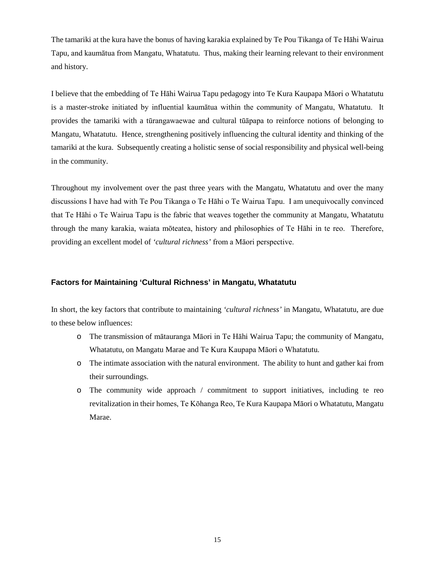The tamariki at the kura have the bonus of having karakia explained by Te Pou Tikanga of Te Hāhi Wairua Tapu, and kaumātua from Mangatu, Whatatutu. Thus, making their learning relevant to their environment and history.

I believe that the embedding of Te Hāhi Wairua Tapu pedagogy into Te Kura Kaupapa Māori o Whatatutu is a master-stroke initiated by influential kaumātua within the community of Mangatu, Whatatutu. It provides the tamariki with a tūrangawaewae and cultural tūāpapa to reinforce notions of belonging to Mangatu, Whatatutu. Hence, strengthening positively influencing the cultural identity and thinking of the tamariki at the kura. Subsequently creating a holistic sense of social responsibility and physical well-being in the community.

Throughout my involvement over the past three years with the Mangatu, Whatatutu and over the many discussions I have had with Te Pou Tikanga o Te Hāhi o Te Wairua Tapu. I am unequivocally convinced that Te Hāhi o Te Wairua Tapu is the fabric that weaves together the community at Mangatu, Whatatutu through the many karakia, waiata mōteatea, history and philosophies of Te Hāhi in te reo. Therefore, providing an excellent model of *'cultural richness'* from a Māori perspective.

# **Factors for Maintaining 'Cultural Richness' in Mangatu, Whatatutu**

In short, the key factors that contribute to maintaining *'cultural richness'* in Mangatu, Whatatutu, are due to these below influences:

- o The transmission of mātauranga Māori in Te Hāhi Wairua Tapu; the community of Mangatu, Whatatutu, on Mangatu Marae and Te Kura Kaupapa Māori o Whatatutu.
- o The intimate association with the natural environment. The ability to hunt and gather kai from their surroundings.
- o The community wide approach / commitment to support initiatives, including te reo revitalization in their homes, Te Kōhanga Reo, Te Kura Kaupapa Māori o Whatatutu, Mangatu Marae.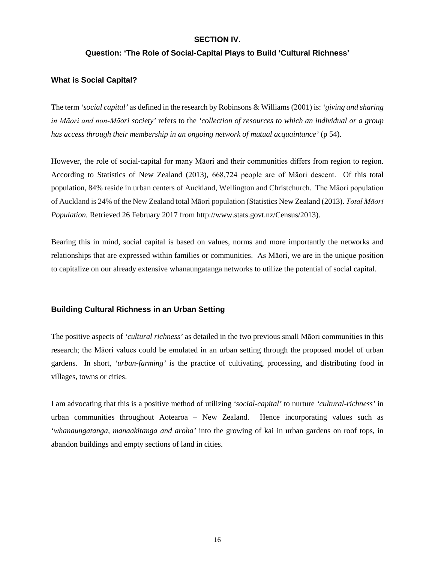# **SECTION IV.**

# **Question: 'The Role of Social-Capital Plays to Build 'Cultural Richness'**

# **What is Social Capital?**

The term *'social capital'* as defined in the research by Robinsons & Williams (2001) is: *'giving and sharing in Māori and non-Māori society'* refers to the *'collection of resources to which an individual or a group has access through their membership in an ongoing network of mutual acquaintance'* (p 54).

However, the role of social-capital for many Māori and their communities differs from region to region. According to Statistics of New Zealand (2013), 668,724 people are of Māori descent. Of this total population, 84% reside in urban centers of Auckland, Wellington and Christchurch. The Māori population of Auckland is 24% of the New Zealand total Māori population (Statistics New Zealand (2013). *Total Māori Population.* Retrieved 26 February 2017 from http:/[/www.stats.govt.nz/Census/2013\)](http://www.stats.govt.nz/Census/2013-census/profile-and-summary-reports/quickstats-about-maori-english.aspx).

Bearing this in mind, social capital is based on values, norms and more importantly the networks and relationships that are expressed within families or communities. As Māori, we are in the unique position to capitalize on our already extensive whanaungatanga networks to utilize the potential of social capital.

# **Building Cultural Richness in an Urban Setting**

The positive aspects of *'cultural richness'* as detailed in the two previous small Māori communities in this research; the Māori values could be emulated in an urban setting through the proposed model of urban gardens. In short, *'urban-farming'* is the practice of cultivating, processing, and distributing food in villages, towns or cities.

I am advocating that this is a positive method of utilizing *'social-capital'* to nurture *'cultural-richness'* in urban communities throughout Aotearoa – New Zealand. Hence incorporating values such as *'whanaungatanga, manaakitanga and aroha'* into the growing of kai in urban gardens on roof tops, in abandon buildings and empty sections of land in cities.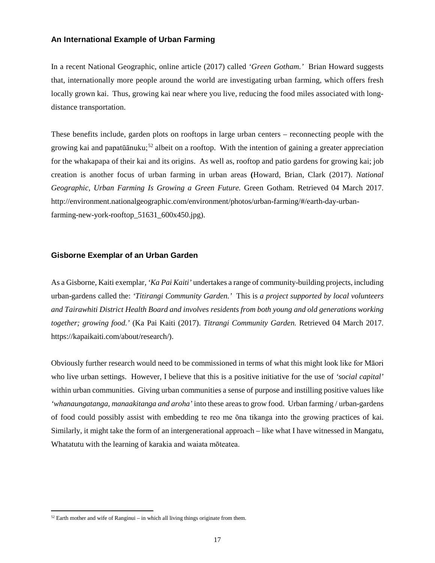# **An International Example of Urban Farming**

In a recent National Geographic, online article (2017) called *'Green Gotham.'* Brian Howard suggests that, internationally more people around the world are investigating urban farming, which offers fresh locally grown kai. Thus, growing kai near where you live, reducing the food miles associated with longdistance transportation.

These benefits include, garden plots on rooftops in large urban centers – reconnecting people with the growing kai and papatūānuku;<sup>[52](#page-17-0)</sup> albeit on a rooftop. With the intention of gaining a greater appreciation for the whakapapa of their kai and its origins. As well as, rooftop and patio gardens for growing kai; job creation is another focus of urban farming in urban areas **(**Howard, Brian, Clark (2017). *National Geographic, Urban Farming Is Growing a Green Future.* Green Gotham. Retrieved 04 March 2017. [http://environment.nationalgeographic.com/environment/photos/urban-farming/#/earth-day-urban](http://environment.nationalgeographic.com/environment/photos/urban-farming/#/earth-day-urban-farming-new-york-rooftop_51631_600x450.jpg)[farming-new-york-rooftop\\_51631\\_600x450.jpg\)](http://environment.nationalgeographic.com/environment/photos/urban-farming/#/earth-day-urban-farming-new-york-rooftop_51631_600x450.jpg).

# **Gisborne Exemplar of an Urban Garden**

As a Gisborne, Kaiti exemplar, *'Ka Pai Kaiti'* undertakes a range of community-building projects, including urban-gardens called the: *['Titirangi Community Garden.](http://gisborne.wordpress.com/)'*This is *a project supported by local volunteers and Tairawhiti District Health Board and involves residents from both young and old generations working together; growing food.'* (Ka Pai Kaiti (2017). *Titrangi Community Garden.* Retrieved 04 March 2017. https://kapaikaiti.com/about/research/).

Obviously further research would need to be commissioned in terms of what this might look like for Māori who live urban settings. However, I believe that this is a positive initiative for the use of *'social capital'* within urban communities. Giving urban communities a sense of purpose and instilling positive values like *'whanaungatanga, manaakitanga and aroha'* into these areas to grow food. Urban farming / urban-gardens of food could possibly assist with embedding te reo me ōna tikanga into the growing practices of kai. Similarly, it might take the form of an intergenerational approach – like what I have witnessed in Mangatu, Whatatutu with the learning of karakia and waiata mōteatea.

<span id="page-17-0"></span> $52$  Earth mother and wife of Ranginui – in which all living things originate from them.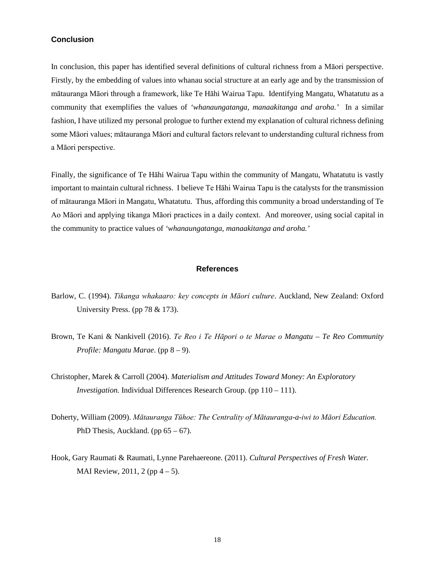# **Conclusion**

In conclusion, this paper has identified several definitions of cultural richness from a Māori perspective. Firstly, by the embedding of values into whanau social structure at an early age and by the transmission of mātauranga Māori through a framework, like Te Hāhi Wairua Tapu. Identifying Mangatu, Whatatutu as a community that exemplifies the values of *'whanaungatanga, manaakitanga and aroha.'* In a similar fashion, I have utilized my personal prologue to further extend my explanation of cultural richness defining some Māori values; mātauranga Māori and cultural factors relevant to understanding cultural richness from a Māori perspective.

Finally, the significance of Te Hāhi Wairua Tapu within the community of Mangatu, Whatatutu is vastly important to maintain cultural richness. I believe Te Hāhi Wairua Tapu is the catalysts for the transmission of mātauranga Māori in Mangatu, Whatatutu. Thus*,* affording this community a broad understanding of Te Ao Māori and applying tikanga Māori practices in a daily context. And moreover, using social capital in the community to practice values of *'whanaungatanga, manaakitanga and aroha.'*

#### **References**

- Barlow, C. (1994). *Tikanga whakaaro: key concepts in Māori culture*. Auckland, New Zealand: Oxford University Press. (pp 78 & 173).
- Brown, Te Kani & Nankivell (2016). *Te Reo i Te Hāpori o te Marae o Mangatu – Te Reo Community Profile: Mangatu Marae*. (pp 8 – 9).
- Christopher, Marek & Carroll (2004). *Materialism and Attitudes Toward Money: An Exploratory Investigation.* Individual Differences Research Group. (pp 110 – 111).
- Doherty, William (2009). *Mātauranga Tūhoe: The Centrality of Mātauranga-a-iwi to Māori Education.* PhD Thesis, Auckland. (pp  $65 - 67$ ).
- Hook, Gary Raumati & Raumati, Lynne Parehaereone. (2011). *Cultural Perspectives of Fresh Water.* MAI Review, 2011, 2 (pp  $4 - 5$ ).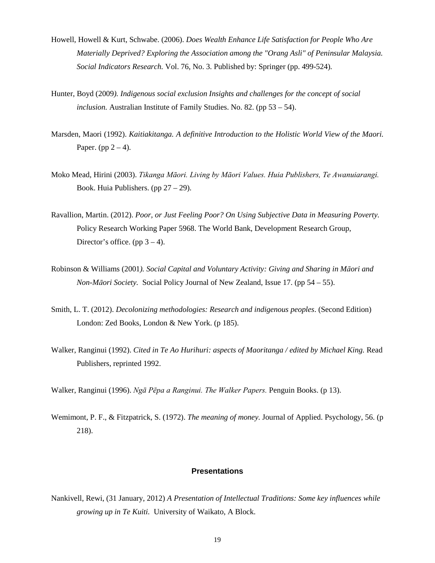- Howell, Howell & Kurt, Schwabe. (2006). *Does Wealth Enhance Life Satisfaction for People Who Are Materially Deprived? Exploring the Association among the "Orang Asli" of Peninsular Malaysia. Social Indicators Research.* Vol. 76, No. 3. Published by: [Springer](https://www.jstor.org/publisher/springer) (pp. 499-524)*.*
- Hunter, Boyd (2009*). Indigenous social exclusion Insights and challenges for the concept of social inclusion.* Australian Institute of Family Studies. No. 82. (pp 53 – 54).
- Marsden, Maori (1992). *Kaitiakitanga. A definitive Introduction to the Holistic World View of the Maori.*  Paper. (pp  $2 - 4$ ).
- Moko Mead, Hirini (2003). *Tikanga Māori. Living by Māori Values. Huia Publishers, Te Awanuiarangi.* Book. Huia Publishers. (pp 27 – 29).
- Ravallion, Martin. (2012). *Poor, or Just Feeling Poor? On Using Subjective Data in Measuring Poverty.* Policy Research Working Paper 5968. The World Bank, Development Research Group, Director's office. (pp  $3 - 4$ ).
- Robinson & Williams (2001*). Social Capital and Voluntary Activity: Giving and Sharing in Māori and Non-Māori Society.* Social Policy Journal of New Zealand, Issue 17. (pp 54 – 55).
- Smith, L. T. (2012). *Decolonizing methodologies: Research and indigenous peoples*. (Second Edition) London: Zed Books, London & New York. (p 185).
- Walker, Ranginui (1992). *Cited in Te Ao Hurihuri: aspects of Maoritanga / edited by Michael King.* Read Publishers, reprinted 1992.
- Walker, Ranginui (1996). *Ngā Pēpa a Ranginui. The Walker Papers.* Penguin Books. (p 13).
- Wemimont, P. F., & Fitzpatrick, S. (1972). *The meaning of money.* Journal of Applied. Psychology, 56. (p 218).

# **Presentations**

Nankivell, Rewi, (31 January, 2012) *A Presentation of Intellectual Traditions: Some key influences while growing up in Te Kuiti.* University of Waikato, A Block.